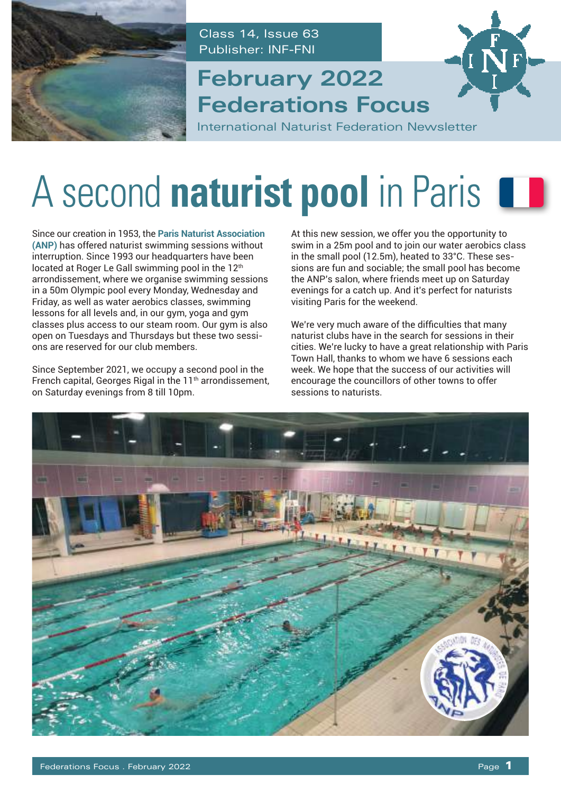

Class 14, Issue 63 Publisher: INF-FNI

### **Federations Focus February 2022**



International Naturist Federation Newsletter

## A second **naturist pool** in Paris  $\blacksquare$

Since our creation in 1953, the **[Paris Naturist Association](http://naturistes-paris.fr/) [\(ANP\)](http://naturistes-paris.fr/)** has offered naturist swimming sessions without interruption. Since 1993 our headquarters have been located at Roger Le Gall swimming pool in the 12<sup>th</sup> arrondissement, where we organise swimming sessions in a 50m Olympic pool every Monday, Wednesday and Friday, as well as water aerobics classes, swimming lessons for all levels and, in our gym, yoga and gym classes plus access to our steam room. Our gym is also open on Tuesdays and Thursdays but these two sessions are reserved for our club members.

Since September 2021, we occupy a second pool in the French capital, Georges Rigal in the 11<sup>th</sup> arrondissement, on Saturday evenings from 8 till 10pm.

At this new session, we offer you the opportunity to swim in a 25m pool and to join our water aerobics class in the small pool (12.5m), heated to 33°C. These sessions are fun and sociable; the small pool has become the ANP's salon, where friends meet up on Saturday evenings for a catch up. And it's perfect for naturists visiting Paris for the weekend.

We're very much aware of the difficulties that many naturist clubs have in the search for sessions in their cities. We're lucky to have a great relationship with Paris Town Hall, thanks to whom we have 6 sessions each week. We hope that the success of our activities will encourage the councillors of other towns to offer sessions to naturists.

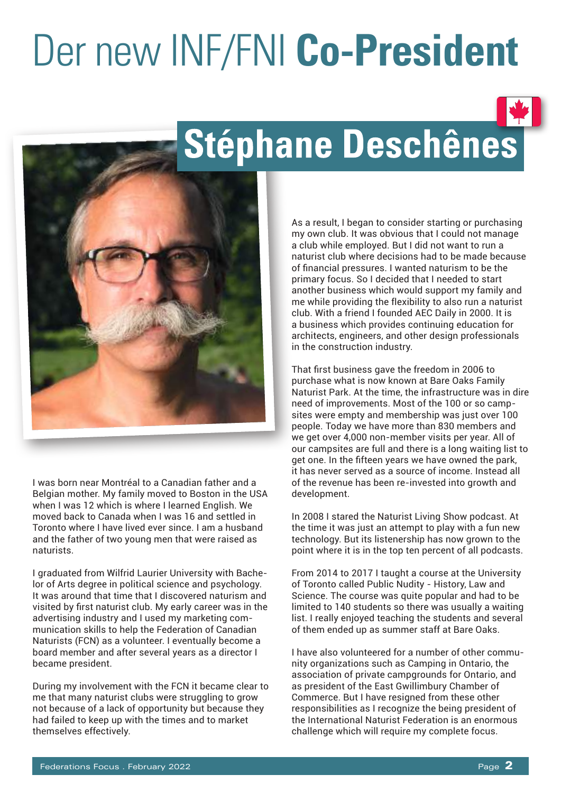# Der new INF/FNI **Co-President**



## Stéphane Deschênes



I was born near Montréal to a Canadian father and a Belgian mother. My family moved to Boston in the USA when I was 12 which is where I learned English. We moved back to Canada when I was 16 and settled in Toronto where I have lived ever since. I am a husband and the father of two young men that were raised as naturists.

I graduated from Wilfrid Laurier University with Bachelor of Arts degree in political science and psychology. It was around that time that I discovered naturism and visited by first naturist club. My early career was in the advertising industry and I used my marketing communication skills to help the Federation of Canadian Naturists (FCN) as a volunteer. I eventually become a board member and after several years as a director I became president.

During my involvement with the FCN it became clear to me that many naturist clubs were struggling to grow not because of a lack of opportunity but because they had failed to keep up with the times and to market themselves effectively.

As a result, I began to consider starting or purchasing my own club. It was obvious that I could not manage a club while employed. But I did not want to run a naturist club where decisions had to be made because of financial pressures. I wanted naturism to be the primary focus. So I decided that I needed to start another business which would support my family and me while providing the flexibility to also run a naturist club. With a friend I founded AEC Daily in 2000. It is a business which provides continuing education for architects, engineers, and other design professionals in the construction industry.

That first business gave the freedom in 2006 to purchase what is now known at Bare Oaks Family Naturist Park. At the time, the infrastructure was in dire need of improvements. Most of the 100 or so campsites were empty and membership was just over 100 people. Today we have more than 830 members and we get over 4,000 non-member visits per year. All of our campsites are full and there is a long waiting list to get one. In the fifteen years we have owned the park, it has never served as a source of income. Instead all of the revenue has been re-invested into growth and development.

In 2008 I stared the Naturist Living Show podcast. At the time it was just an attempt to play with a fun new technology. But its listenership has now grown to the point where it is in the top ten percent of all podcasts.

From 2014 to 2017 I taught a course at the University of Toronto called Public Nudity - History, Law and Science. The course was quite popular and had to be limited to 140 students so there was usually a waiting list. I really enjoyed teaching the students and several of them ended up as summer staff at Bare Oaks.

I have also volunteered for a number of other community organizations such as Camping in Ontario, the association of private campgrounds for Ontario, and as president of the East Gwillimbury Chamber of Commerce. But I have resigned from these other responsibilities as I recognize the being president of the International Naturist Federation is an enormous challenge which will require my complete focus.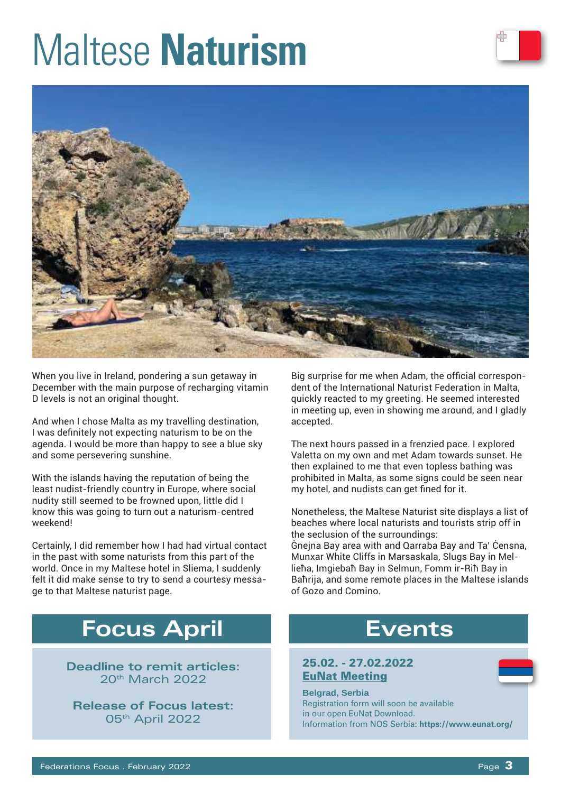## Maltese **Naturism**



When you live in Ireland, pondering a sun getaway in December with the main purpose of recharging vitamin D levels is not an original thought.

And when I chose Malta as my travelling destination, I was definitely not expecting naturism to be on the agenda. I would be more than happy to see a blue sky and some persevering sunshine.

With the islands having the reputation of being the least nudist-friendly country in Europe, where social nudity still seemed to be frowned upon, little did I know this was going to turn out a naturism-centred weekend!

Certainly, I did remember how I had had virtual contact in the past with some naturists from this part of the world. Once in my Maltese hotel in Sliema, I suddenly felt it did make sense to try to send a courtesy message to that Maltese naturist page.

### **Focus April**

**Deadline to remit articles:**  20th March 2022

**Release of Focus latest:**  05th April 2022

Big surprise for me when Adam, the official correspondent of the International Naturist Federation in Malta, quickly reacted to my greeting. He seemed interested in meeting up, even in showing me around, and I gladly accepted.

The next hours passed in a frenzied pace. I explored Valetta on my own and met Adam towards sunset. He then explained to me that even topless bathing was prohibited in Malta, as some signs could be seen near my hotel, and nudists can get fined for it.

Nonetheless, the Maltese Naturist site displays a list of beaches where local naturists and tourists strip off in the seclusion of the surroundings:

Ġnejna Bay area with and Qarraba Bay and Ta' Ċensna, Munxar White Cliffs in Marsaskala, Slugs Bay in Mellieħa, Imgiebaħ Bay in Selmun, Fomm ir-Riħ Bay in Baħrija, and some remote places in the Maltese islands of Gozo and Comino.

### **Events**

#### 25.02. - 27.02.2022 EuNat Meeting

**Belgrad, Serbia** Registration form will soon be available in our open EuNat Download. Information from NOS Serbia: **https://www.eunat.org/**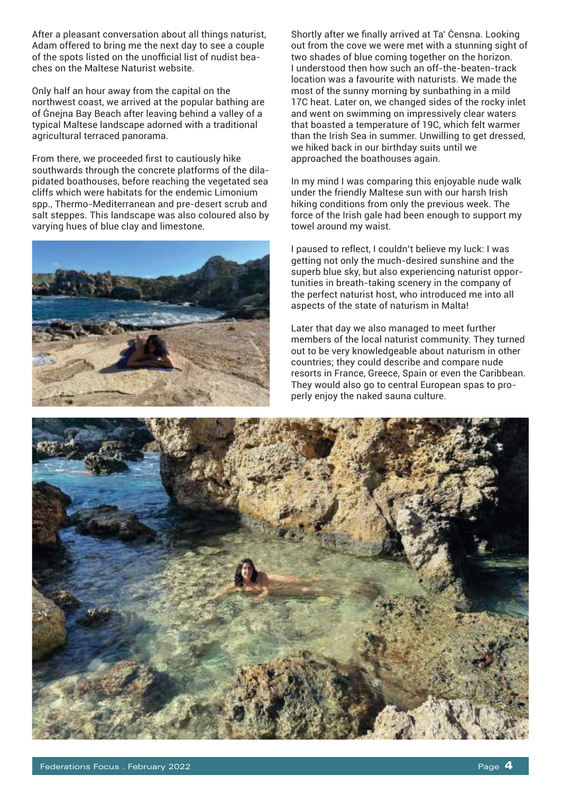After a pleasant conversation about all things naturist, Adam offered to bring me the next day to see a couple of the spots listed on the unofficial list of nudist beaches on the Maltese Naturist website.

Only half an hour away from the capital on the northwest coast, we arrived at the popular bathing are of Ġnejna Bay Beach after leaving behind a valley of a typical Maltese landscape adorned with a traditional agricultural terraced panorama.

From there, we proceeded first to cautiously hike southwards through the concrete platforms of the dilapidated boathouses, before reaching the vegetated sea cliffs which were habitats for the endemic Limonium spp., Thermo-Mediterranean and pre-desert scrub and salt steppes. This landscape was also coloured also by varying hues of blue clay and limestone.



Shortly after we finally arrived at Ta' Ċensna. Looking out from the cove we were met with a stunning sight of two shades of blue coming together on the horizon. I understood then how such an off-the-beaten-track location was a favourite with naturists. We made the most of the sunny morning by sunbathing in a mild 17C heat. Later on, we changed sides of the rocky inlet and went on swimming on impressively clear waters that boasted a temperature of 19C, which felt warmer than the Irish Sea in summer. Unwilling to get dressed, we hiked back in our birthday suits until we approached the boathouses again.

In my mind I was comparing this enjoyable nude walk under the friendly Maltese sun with our harsh Irish hiking conditions from only the previous week. The force of the Irish gale had been enough to support my towel around my waist.

I paused to reflect, I couldn't believe my luck: I was getting not only the much-desired sunshine and the superb blue sky, but also experiencing naturist opportunities in breath-taking scenery in the company of the perfect naturist host, who introduced me into all aspects of the state of naturism in Malta!

Later that day we also managed to meet further members of the local naturist community. They turned out to be very knowledgeable about naturism in other countries; they could describe and compare nude resorts in France, Greece, Spain or even the Caribbean. They would also go to central European spas to properly enjoy the naked sauna culture.

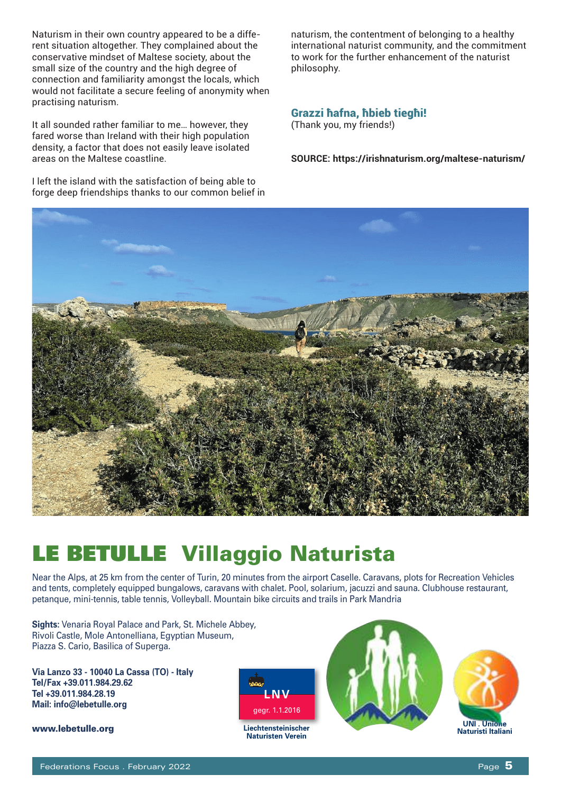Naturism in their own country appeared to be a different situation altogether. They complained about the conservative mindset of Maltese society, about the small size of the country and the high degree of connection and familiarity amongst the locals, which would not facilitate a secure feeling of anonymity when practising naturism.

It all sounded rather familiar to me… however, they fared worse than Ireland with their high population density, a factor that does not easily leave isolated areas on the Maltese coastline.

I left the island with the satisfaction of being able to forge deep friendships thanks to our common belief in

naturism, the contentment of belonging to a healthy international naturist community, and the commitment to work for the further enhancement of the naturist philosophy.

#### Grazzi ħafna, ħbieb tiegħi!

(Thank you, my friends!)

**SOURCE: https://irishnaturism.org/maltese-naturism/**



### LE BETULLE Villaggio Naturista

Near the Alps, at 25 km from the center of Turin, 20 minutes from the airport Caselle. Caravans, plots for Recreation Vehicles and tents, completely equipped bungalows, caravans with chalet. Pool, solarium, jacuzzi and sauna. Clubhouse restaurant, petanque, mini-tennis, table tennis, Volleyball. Mountain bike circuits and trails in Park Mandria

**Sights:** Venaria Royal Palace and Park, St. Michele Abbey, Rivoli Castle, Mole Antonelliana, Egyptian Museum, Piazza S. Cario, Basilica of Superga.

**Via Lanzo 33 - 10040 La Cassa (TO) - Italy Tel/Fax +39.011.984.29.62 Tel +39.011.984.28.19 Mail: info@lebetulle.org** 

www.lebetulle.org



**Liechtensteinischer Naturisten Verein**